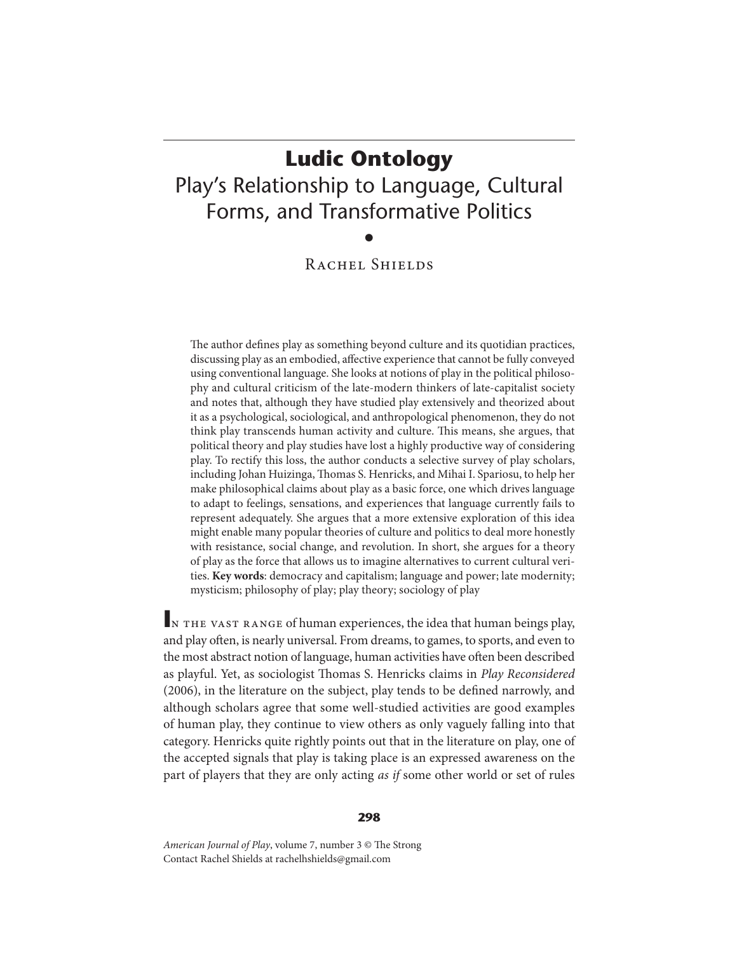# **Ludic Ontology** Play's Relationship to Language, Cultural Forms, and Transformative Politics •

# RACHEL SHIELDS

The author defines play as something beyond culture and its quotidian practices, discussing play as an embodied, affective experience that cannot be fully conveyed using conventional language. She looks at notions of play in the political philosophy and cultural criticism of the late-modern thinkers of late-capitalist society and notes that, although they have studied play extensively and theorized about it as a psychological, sociological, and anthropological phenomenon, they do not think play transcends human activity and culture. This means, she argues, that political theory and play studies have lost a highly productive way of considering play. To rectify this loss, the author conducts a selective survey of play scholars, including Johan Huizinga, Thomas S. Henricks, and Mihai I. Spariosu, to help her make philosophical claims about play as a basic force, one which drives language to adapt to feelings, sensations, and experiences that language currently fails to represent adequately. She argues that a more extensive exploration of this idea might enable many popular theories of culture and politics to deal more honestly with resistance, social change, and revolution. In short, she argues for a theory of play as the force that allows us to imagine alternatives to current cultural verities. **Key words**: democracy and capitalism; language and power; late modernity; mysticism; philosophy of play; play theory; sociology of play

IN THE VAST RANGE of human experiences, the idea that human beings play, and play often, is nearly universal. From dreams, to games, to sports, and even to the most abstract notion of language, human activities have often been described as playful. Yet, as sociologist Thomas S. Henricks claims in Play Reconsidered (2006), in the literature on the subject, play tends to be defined narrowly, and although scholars agree that some well-studied activities are good examples of human play, they continue to view others as only vaguely falling into that category. Henricks quite rightly points out that in the literature on play, one of the accepted signals that play is taking place is an expressed awareness on the part of players that they are only acting as if some other world or set of rules

#### **298**

American Journal of Play, volume 7, number 3 © The Strong Contact Rachel Shields at rachelhshields@gmail.com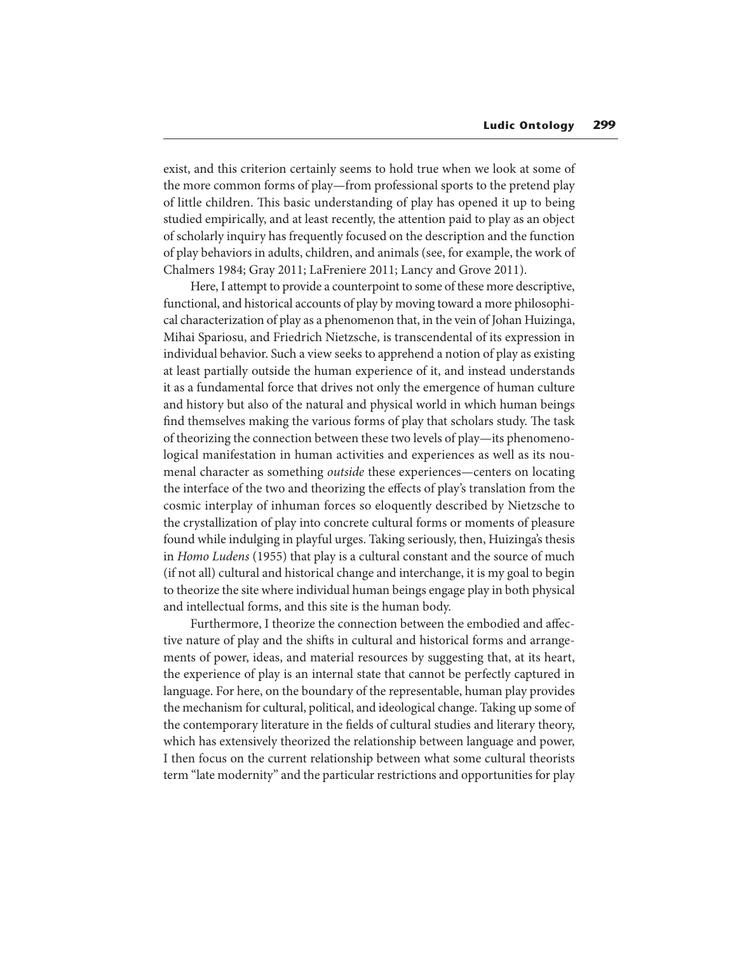exist, and this criterion certainly seems to hold true when we look at some of the more common forms of play—from professional sports to the pretend play of little children. This basic understanding of play has opened it up to being studied empirically, and at least recently, the attention paid to play as an object of scholarly inquiry has frequently focused on the description and the function of play behaviors in adults, children, and animals (see, for example, the work of Chalmers 1984; Gray 2011; LaFreniere 2011; Lancy and Grove 2011).

Here, I attempt to provide a counterpoint to some of these more descriptive, functional, and historical accounts of play by moving toward a more philosophical characterization of play as a phenomenon that, in the vein of Johan Huizinga, Mihai Spariosu, and Friedrich Nietzsche, is transcendental of its expression in individual behavior. Such a view seeks to apprehend a notion of play as existing at least partially outside the human experience of it, and instead understands it as a fundamental force that drives not only the emergence of human culture and history but also of the natural and physical world in which human beings find themselves making the various forms of play that scholars study. The task of theorizing the connection between these two levels of play—its phenomenological manifestation in human activities and experiences as well as its noumenal character as something outside these experiences—centers on locating the interface of the two and theorizing the effects of play's translation from the cosmic interplay of inhuman forces so eloquently described by Nietzsche to the crystallization of play into concrete cultural forms or moments of pleasure found while indulging in playful urges. Taking seriously, then, Huizinga's thesis in Homo Ludens (1955) that play is a cultural constant and the source of much (if not all) cultural and historical change and interchange, it is my goal to begin to theorize the site where individual human beings engage play in both physical and intellectual forms, and this site is the human body.

Furthermore, I theorize the connection between the embodied and affective nature of play and the shifts in cultural and historical forms and arrangements of power, ideas, and material resources by suggesting that, at its heart, the experience of play is an internal state that cannot be perfectly captured in language. For here, on the boundary of the representable, human play provides the mechanism for cultural, political, and ideological change. Taking up some of the contemporary literature in the fields of cultural studies and literary theory, which has extensively theorized the relationship between language and power, I then focus on the current relationship between what some cultural theorists term "late modernity" and the particular restrictions and opportunities for play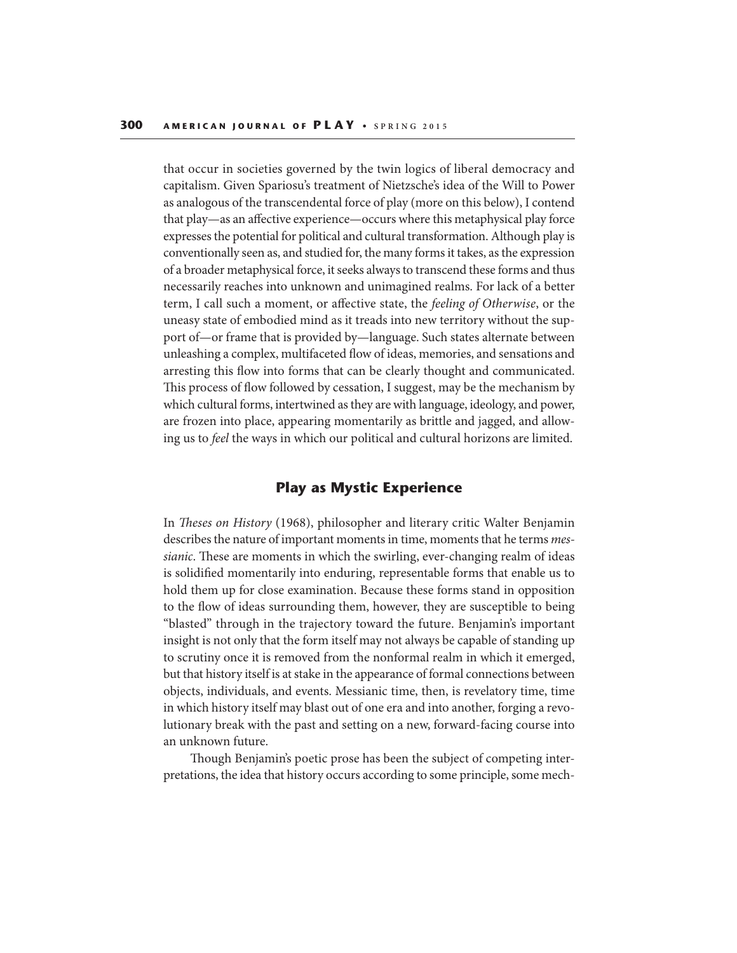that occur in societies governed by the twin logics of liberal democracy and capitalism. Given Spariosu's treatment of Nietzsche's idea of the Will to Power as analogous of the transcendental force of play (more on this below), I contend that play—as an affective experience—occurs where this metaphysical play force expresses the potential for political and cultural transformation. Although play is conventionally seen as, and studied for, the many forms it takes, as the expression of a broader metaphysical force, it seeks always to transcend these forms and thus necessarily reaches into unknown and unimagined realms. For lack of a better term, I call such a moment, or affective state, the feeling of Otherwise, or the uneasy state of embodied mind as it treads into new territory without the support of—or frame that is provided by—language. Such states alternate between unleashing a complex, multifaceted flow of ideas, memories, and sensations and arresting this flow into forms that can be clearly thought and communicated. This process of flow followed by cessation, I suggest, may be the mechanism by which cultural forms, intertwined as they are with language, ideology, and power, are frozen into place, appearing momentarily as brittle and jagged, and allowing us to feel the ways in which our political and cultural horizons are limited.

## **Play as Mystic Experience**

In Theses on History (1968), philosopher and literary critic Walter Benjamin describes the nature of important moments in time, moments that he terms *mes*sianic. These are moments in which the swirling, ever-changing realm of ideas is solidified momentarily into enduring, representable forms that enable us to hold them up for close examination. Because these forms stand in opposition to the flow of ideas surrounding them, however, they are susceptible to being "blasted" through in the trajectory toward the future. Benjamin's important insight is not only that the form itself may not always be capable of standing up to scrutiny once it is removed from the nonformal realm in which it emerged, but that history itself is at stake in the appearance of formal connections between objects, individuals, and events. Messianic time, then, is revelatory time, time in which history itself may blast out of one era and into another, forging a revolutionary break with the past and setting on a new, forward-facing course into an unknown future.

Though Benjamin's poetic prose has been the subject of competing interpretations, the idea that history occurs according to some principle, some mech-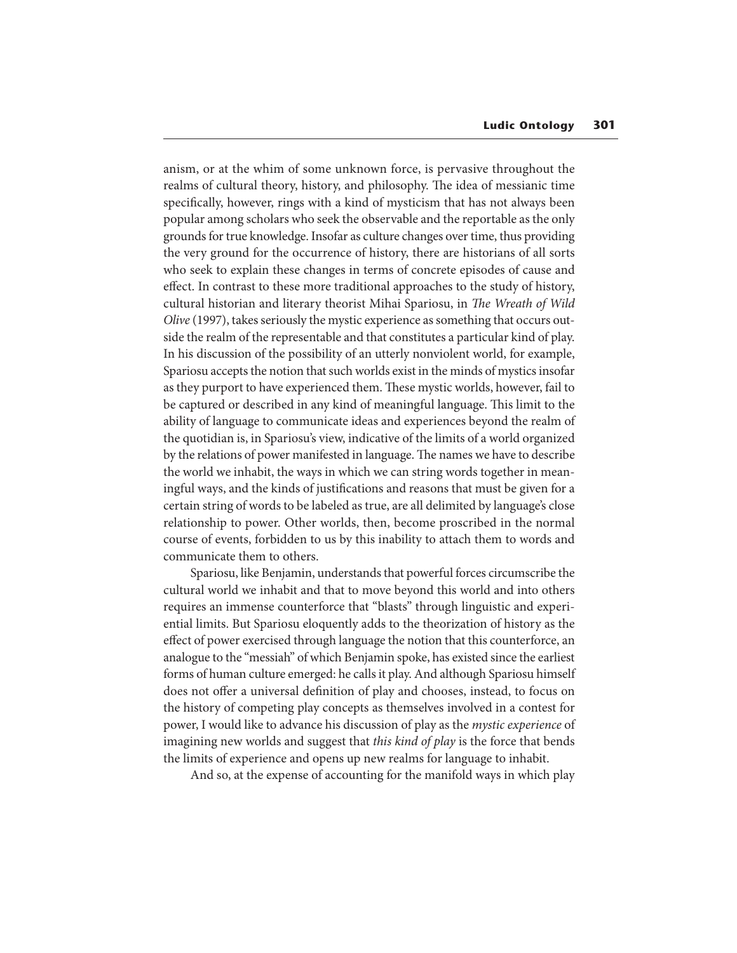anism, or at the whim of some unknown force, is pervasive throughout the realms of cultural theory, history, and philosophy. The idea of messianic time specifically, however, rings with a kind of mysticism that has not always been popular among scholars who seek the observable and the reportable as the only grounds for true knowledge. Insofar as culture changes over time, thus providing the very ground for the occurrence of history, there are historians of all sorts who seek to explain these changes in terms of concrete episodes of cause and effect. In contrast to these more traditional approaches to the study of history, cultural historian and literary theorist Mihai Spariosu, in The Wreath of Wild Olive (1997), takes seriously the mystic experience as something that occurs outside the realm of the representable and that constitutes a particular kind of play. In his discussion of the possibility of an utterly nonviolent world, for example, Spariosu accepts the notion that such worlds exist in the minds of mystics insofar as they purport to have experienced them. These mystic worlds, however, fail to be captured or described in any kind of meaningful language. This limit to the ability of language to communicate ideas and experiences beyond the realm of the quotidian is, in Spariosu's view, indicative of the limits of a world organized by the relations of power manifested in language. The names we have to describe the world we inhabit, the ways in which we can string words together in meaningful ways, and the kinds of justifications and reasons that must be given for a certain string of words to be labeled as true, are all delimited by language's close relationship to power. Other worlds, then, become proscribed in the normal course of events, forbidden to us by this inability to attach them to words and communicate them to others.

Spariosu, like Benjamin, understands that powerful forces circumscribe the cultural world we inhabit and that to move beyond this world and into others requires an immense counterforce that "blasts" through linguistic and experiential limits. But Spariosu eloquently adds to the theorization of history as the effect of power exercised through language the notion that this counterforce, an analogue to the "messiah" of which Benjamin spoke, has existed since the earliest forms of human culture emerged: he calls it play. And although Spariosu himself does not offer a universal definition of play and chooses, instead, to focus on the history of competing play concepts as themselves involved in a contest for power, I would like to advance his discussion of play as the mystic experience of imagining new worlds and suggest that this kind of play is the force that bends the limits of experience and opens up new realms for language to inhabit.

And so, at the expense of accounting for the manifold ways in which play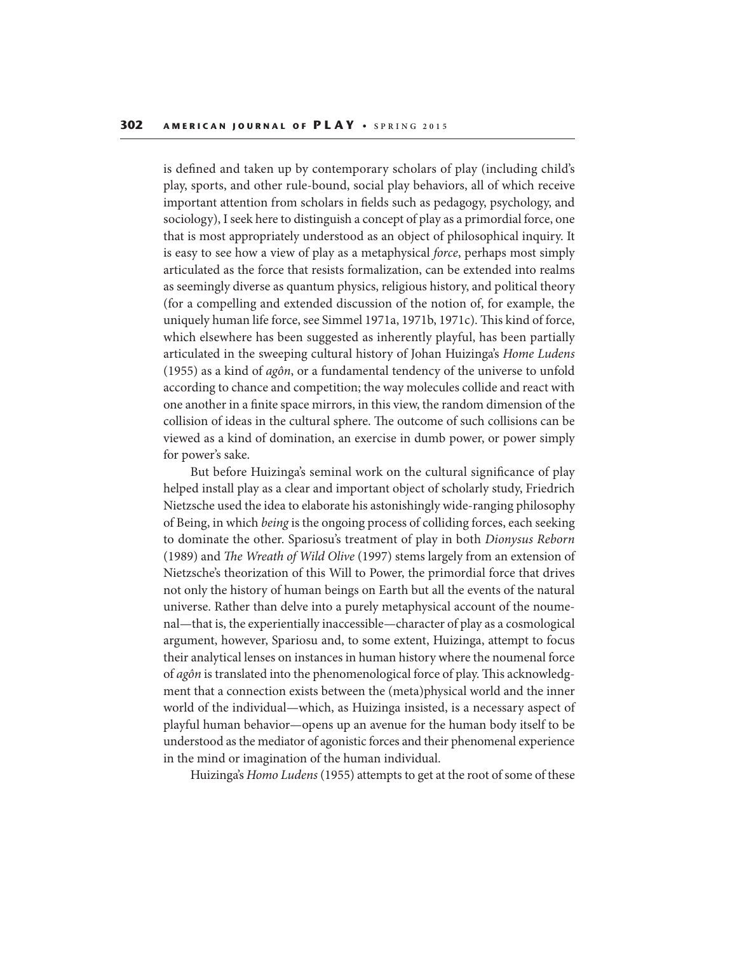is defined and taken up by contemporary scholars of play (including child's play, sports, and other rule-bound, social play behaviors, all of which receive important attention from scholars in fields such as pedagogy, psychology, and sociology), I seek here to distinguish a concept of play as a primordial force, one that is most appropriately understood as an object of philosophical inquiry. It is easy to see how a view of play as a metaphysical force, perhaps most simply articulated as the force that resists formalization, can be extended into realms as seemingly diverse as quantum physics, religious history, and political theory (for a compelling and extended discussion of the notion of, for example, the uniquely human life force, see Simmel 1971a, 1971b, 1971c). This kind of force, which elsewhere has been suggested as inherently playful, has been partially articulated in the sweeping cultural history of Johan Huizinga's Home Ludens (1955) as a kind of agôn, or a fundamental tendency of the universe to unfold according to chance and competition; the way molecules collide and react with one another in a finite space mirrors, in this view, the random dimension of the collision of ideas in the cultural sphere. The outcome of such collisions can be viewed as a kind of domination, an exercise in dumb power, or power simply for power's sake.

But before Huizinga's seminal work on the cultural significance of play helped install play as a clear and important object of scholarly study, Friedrich Nietzsche used the idea to elaborate his astonishingly wide-ranging philosophy of Being, in which being is the ongoing process of colliding forces, each seeking to dominate the other. Spariosu's treatment of play in both Dionysus Reborn (1989) and The Wreath of Wild Olive (1997) stems largely from an extension of Nietzsche's theorization of this Will to Power, the primordial force that drives not only the history of human beings on Earth but all the events of the natural universe. Rather than delve into a purely metaphysical account of the noumenal—that is, the experientially inaccessible—character of play as a cosmological argument, however, Spariosu and, to some extent, Huizinga, attempt to focus their analytical lenses on instances in human history where the noumenal force of agôn is translated into the phenomenological force of play. This acknowledgment that a connection exists between the (meta)physical world and the inner world of the individual—which, as Huizinga insisted, is a necessary aspect of playful human behavior—opens up an avenue for the human body itself to be understood as the mediator of agonistic forces and their phenomenal experience in the mind or imagination of the human individual.

Huizinga's Homo Ludens (1955) attempts to get at the root of some of these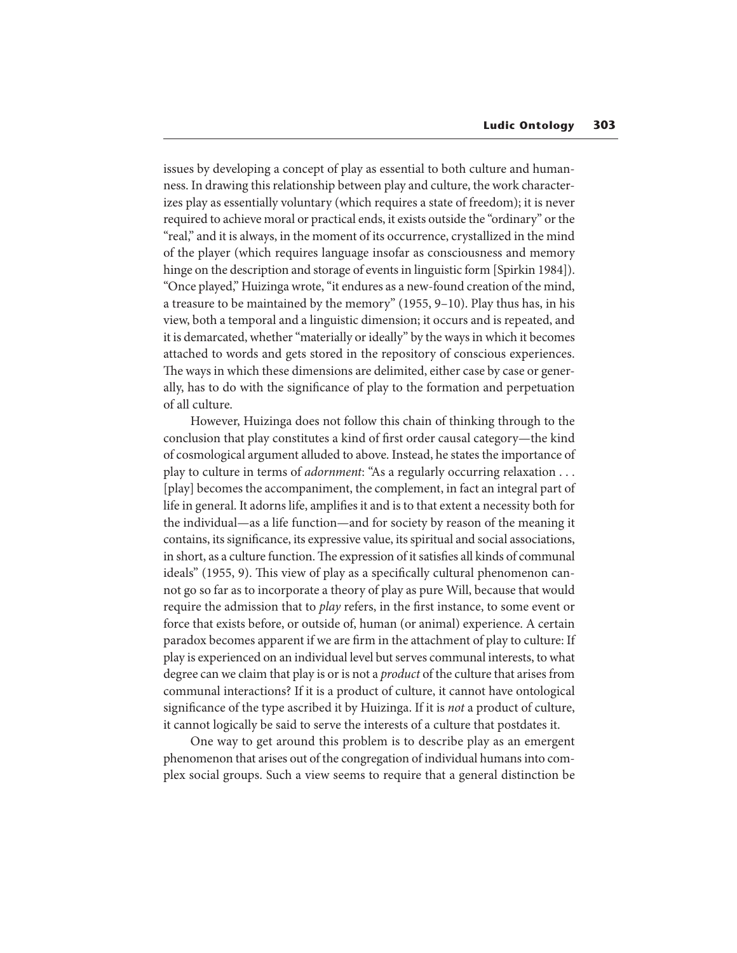issues by developing a concept of play as essential to both culture and humanness. In drawing this relationship between play and culture, the work characterizes play as essentially voluntary (which requires a state of freedom); it is never required to achieve moral or practical ends, it exists outside the "ordinary" or the "real," and it is always, in the moment of its occurrence, crystallized in the mind of the player (which requires language insofar as consciousness and memory hinge on the description and storage of events in linguistic form [Spirkin 1984]). "Once played," Huizinga wrote, "it endures as a new-found creation of the mind, a treasure to be maintained by the memory" (1955, 9–10). Play thus has, in his view, both a temporal and a linguistic dimension; it occurs and is repeated, and it is demarcated, whether "materially or ideally" by the ways in which it becomes attached to words and gets stored in the repository of conscious experiences. The ways in which these dimensions are delimited, either case by case or generally, has to do with the signicance of play to the formation and perpetuation of all culture.

However, Huizinga does not follow this chain of thinking through to the conclusion that play constitutes a kind of first order causal category—the kind of cosmological argument alluded to above. Instead, he states the importance of play to culture in terms of adornment: "As a regularly occurring relaxation . . . [play] becomes the accompaniment, the complement, in fact an integral part of life in general. It adorns life, amplifies it and is to that extent a necessity both for the individual—as a life function—and for society by reason of the meaning it contains, its significance, its expressive value, its spiritual and social associations, in short, as a culture function. The expression of it satisfies all kinds of communal ideals" (1955, 9). This view of play as a specifically cultural phenomenon cannot go so far as to incorporate a theory of play as pure Will, because that would require the admission that to *play* refers, in the first instance, to some event or force that exists before, or outside of, human (or animal) experience. A certain paradox becomes apparent if we are firm in the attachment of play to culture: If play is experienced on an individual level but serves communal interests, to what degree can we claim that play is or is not a *product* of the culture that arises from communal interactions? If it is a product of culture, it cannot have ontological significance of the type ascribed it by Huizinga. If it is not a product of culture, it cannot logically be said to serve the interests of a culture that postdates it.

One way to get around this problem is to describe play as an emergent phenomenon that arises out of the congregation of individual humans into complex social groups. Such a view seems to require that a general distinction be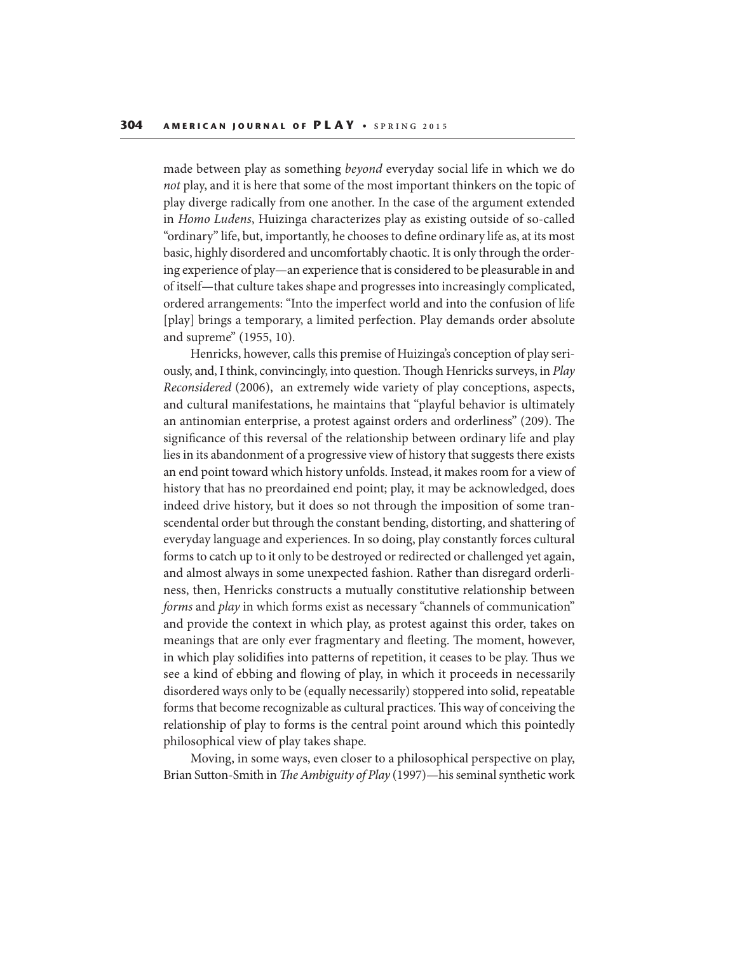made between play as something beyond everyday social life in which we do not play, and it is here that some of the most important thinkers on the topic of play diverge radically from one another. In the case of the argument extended in Homo Ludens, Huizinga characterizes play as existing outside of so-called "ordinary" life, but, importantly, he chooses to define ordinary life as, at its most basic, highly disordered and uncomfortably chaotic. It is only through the ordering experience of play—an experience that is considered to be pleasurable in and of itself—that culture takes shape and progresses into increasingly complicated, ordered arrangements: "Into the imperfect world and into the confusion of life [play] brings a temporary, a limited perfection. Play demands order absolute and supreme" (1955, 10).

Henricks, however, calls this premise of Huizinga's conception of play seriously, and, I think, convincingly, into question. Though Henricks surveys, in Play Reconsidered (2006), an extremely wide variety of play conceptions, aspects, and cultural manifestations, he maintains that "playful behavior is ultimately an antinomian enterprise, a protest against orders and orderliness" (209). The significance of this reversal of the relationship between ordinary life and play lies in its abandonment of a progressive view of history that suggests there exists an end point toward which history unfolds. Instead, it makes room for a view of history that has no preordained end point; play, it may be acknowledged, does indeed drive history, but it does so not through the imposition of some transcendental order but through the constant bending, distorting, and shattering of everyday language and experiences. In so doing, play constantly forces cultural forms to catch up to it only to be destroyed or redirected or challenged yet again, and almost always in some unexpected fashion. Rather than disregard orderliness, then, Henricks constructs a mutually constitutive relationship between forms and play in which forms exist as necessary "channels of communication" and provide the context in which play, as protest against this order, takes on meanings that are only ever fragmentary and fleeting. The moment, however, in which play solidifies into patterns of repetition, it ceases to be play. Thus we see a kind of ebbing and flowing of play, in which it proceeds in necessarily disordered ways only to be (equally necessarily) stoppered into solid, repeatable forms that become recognizable as cultural practices. This way of conceiving the relationship of play to forms is the central point around which this pointedly philosophical view of play takes shape.

Moving, in some ways, even closer to a philosophical perspective on play, Brian Sutton-Smith in The Ambiguity of Play (1997)—his seminal synthetic work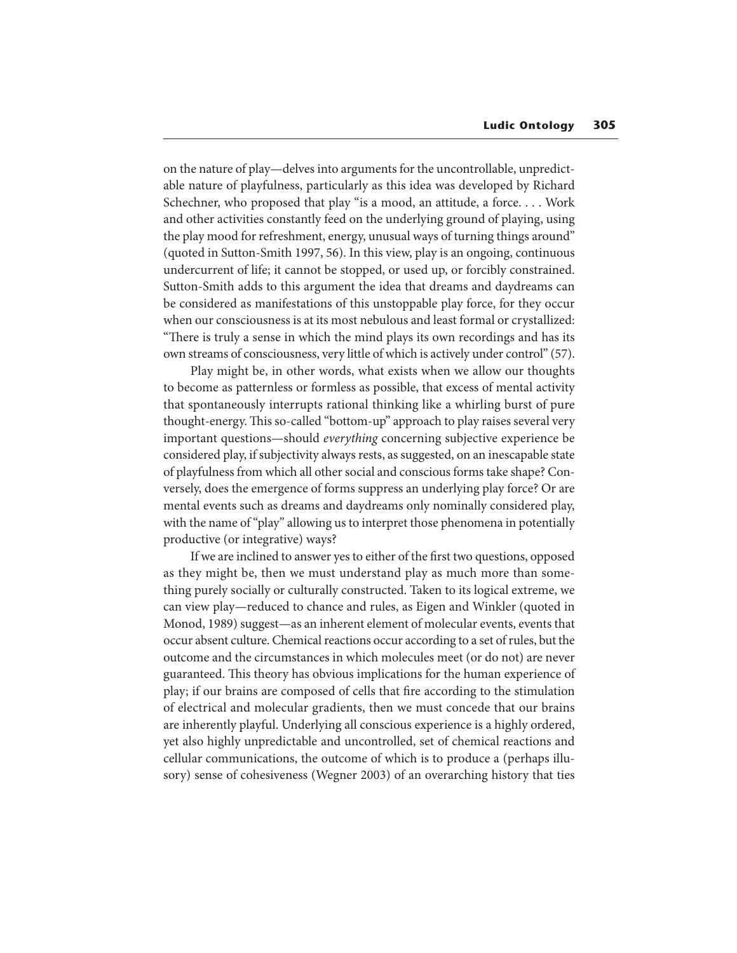on the nature of play—delves into arguments for the uncontrollable, unpredictable nature of playfulness, particularly as this idea was developed by Richard Schechner, who proposed that play "is a mood, an attitude, a force. . . . Work and other activities constantly feed on the underlying ground of playing, using the play mood for refreshment, energy, unusual ways of turning things around" (quoted in Sutton-Smith 1997, 56). In this view, play is an ongoing, continuous undercurrent of life; it cannot be stopped, or used up, or forcibly constrained. Sutton-Smith adds to this argument the idea that dreams and daydreams can be considered as manifestations of this unstoppable play force, for they occur when our consciousness is at its most nebulous and least formal or crystallized: "There is truly a sense in which the mind plays its own recordings and has its own streams of consciousness, very little of which is actively under control" (57).

Play might be, in other words, what exists when we allow our thoughts to become as patternless or formless as possible, that excess of mental activity that spontaneously interrupts rational thinking like a whirling burst of pure thought-energy. This so-called "bottom-up" approach to play raises several very important questions—should everything concerning subjective experience be considered play, if subjectivity always rests, as suggested, on an inescapable state of playfulness from which all other social and conscious forms take shape? Conversely, does the emergence of forms suppress an underlying play force? Or are mental events such as dreams and daydreams only nominally considered play, with the name of "play" allowing us to interpret those phenomena in potentially productive (or integrative) ways?

If we are inclined to answer yes to either of the first two questions, opposed as they might be, then we must understand play as much more than something purely socially or culturally constructed. Taken to its logical extreme, we can view play—reduced to chance and rules, as Eigen and Winkler (quoted in Monod, 1989) suggest—as an inherent element of molecular events, events that occur absent culture. Chemical reactions occur according to a set of rules, but the outcome and the circumstances in which molecules meet (or do not) are never guaranteed. This theory has obvious implications for the human experience of play; if our brains are composed of cells that fire according to the stimulation of electrical and molecular gradients, then we must concede that our brains are inherently playful. Underlying all conscious experience is a highly ordered, yet also highly unpredictable and uncontrolled, set of chemical reactions and cellular communications, the outcome of which is to produce a (perhaps illusory) sense of cohesiveness (Wegner 2003) of an overarching history that ties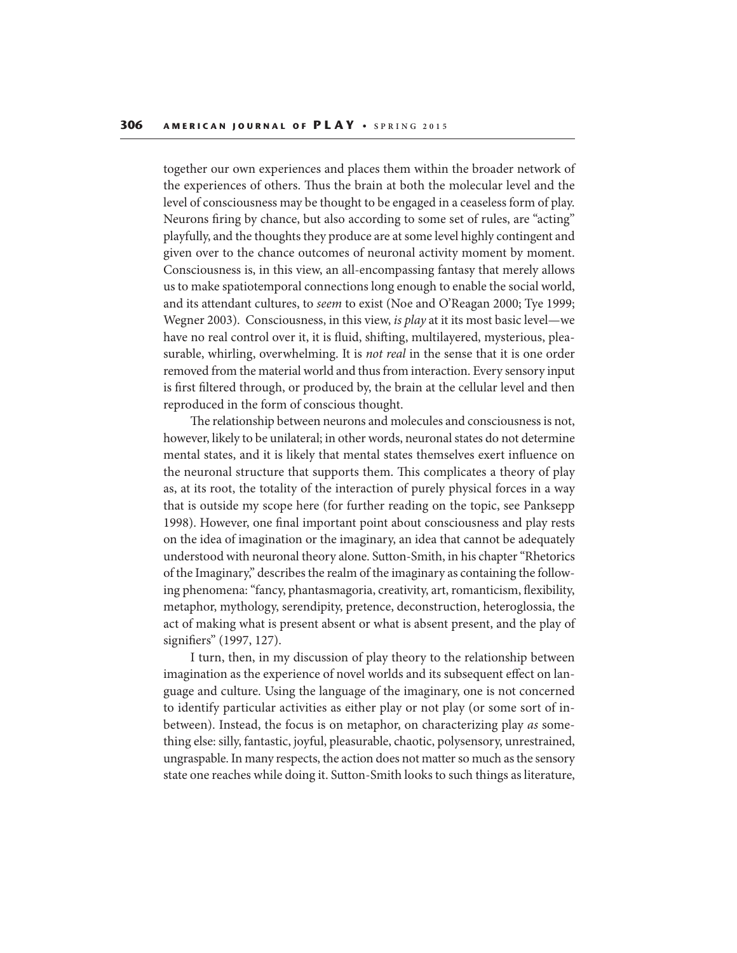together our own experiences and places them within the broader network of the experiences of others. Thus the brain at both the molecular level and the level of consciousness may be thought to be engaged in a ceaseless form of play. Neurons firing by chance, but also according to some set of rules, are "acting" playfully, and the thoughts they produce are at some level highly contingent and given over to the chance outcomes of neuronal activity moment by moment. Consciousness is, in this view, an all-encompassing fantasy that merely allows us to make spatiotemporal connections long enough to enable the social world, and its attendant cultures, to seem to exist (Noe and O'Reagan 2000; Tye 1999; Wegner 2003). Consciousness, in this view, is play at it its most basic level—we have no real control over it, it is fluid, shifting, multilayered, mysterious, pleasurable, whirling, overwhelming. It is *not real* in the sense that it is one order removed from the material world and thus from interaction. Every sensory input is first filtered through, or produced by, the brain at the cellular level and then reproduced in the form of conscious thought.

The relationship between neurons and molecules and consciousness is not, however, likely to be unilateral; in other words, neuronal states do not determine mental states, and it is likely that mental states themselves exert influence on the neuronal structure that supports them. This complicates a theory of play as, at its root, the totality of the interaction of purely physical forces in a way that is outside my scope here (for further reading on the topic, see Panksepp 1998). However, one final important point about consciousness and play rests on the idea of imagination or the imaginary, an idea that cannot be adequately understood with neuronal theory alone. Sutton-Smith, in his chapter "Rhetorics of the Imaginary," describes the realm of the imaginary as containing the following phenomena: "fancy, phantasmagoria, creativity, art, romanticism, flexibility, metaphor, mythology, serendipity, pretence, deconstruction, heteroglossia, the act of making what is present absent or what is absent present, and the play of signifiers" (1997, 127).

I turn, then, in my discussion of play theory to the relationship between imagination as the experience of novel worlds and its subsequent effect on language and culture. Using the language of the imaginary, one is not concerned to identify particular activities as either play or not play (or some sort of inbetween). Instead, the focus is on metaphor, on characterizing play as something else: silly, fantastic, joyful, pleasurable, chaotic, polysensory, unrestrained, ungraspable. In many respects, the action does not matter so much as the sensory state one reaches while doing it. Sutton-Smith looks to such things as literature,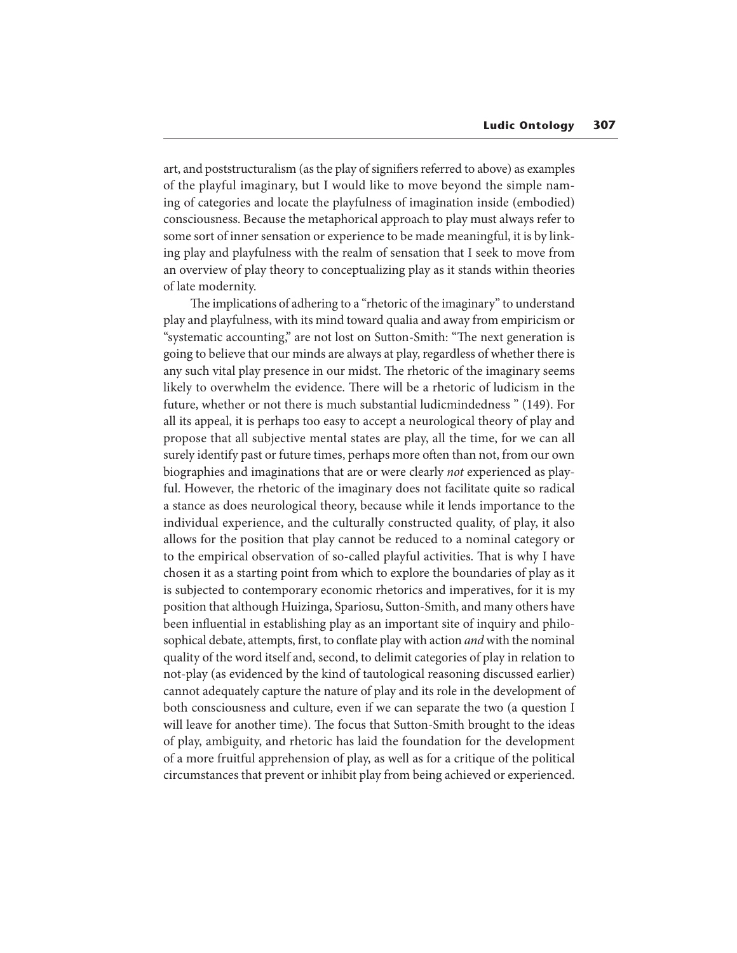art, and poststructuralism (as the play of signifiers referred to above) as examples of the playful imaginary, but I would like to move beyond the simple naming of categories and locate the playfulness of imagination inside (embodied) consciousness. Because the metaphorical approach to play must always refer to some sort of inner sensation or experience to be made meaningful, it is by linking play and playfulness with the realm of sensation that I seek to move from an overview of play theory to conceptualizing play as it stands within theories of late modernity.

The implications of adhering to a "rhetoric of the imaginary" to understand play and playfulness, with its mind toward qualia and away from empiricism or "systematic accounting," are not lost on Sutton-Smith: "The next generation is going to believe that our minds are always at play, regardless of whether there is any such vital play presence in our midst. The rhetoric of the imaginary seems likely to overwhelm the evidence. There will be a rhetoric of ludicism in the future, whether or not there is much substantial ludicmindedness " (149). For all its appeal, it is perhaps too easy to accept a neurological theory of play and propose that all subjective mental states are play, all the time, for we can all surely identify past or future times, perhaps more often than not, from our own biographies and imaginations that are or were clearly not experienced as playful. However, the rhetoric of the imaginary does not facilitate quite so radical a stance as does neurological theory, because while it lends importance to the individual experience, and the culturally constructed quality, of play, it also allows for the position that play cannot be reduced to a nominal category or to the empirical observation of so-called playful activities. That is why I have chosen it as a starting point from which to explore the boundaries of play as it is subjected to contemporary economic rhetorics and imperatives, for it is my position that although Huizinga, Spariosu, Sutton-Smith, and many others have been influential in establishing play as an important site of inquiry and philosophical debate, attempts, first, to conflate play with action *and* with the nominal quality of the word itself and, second, to delimit categories of play in relation to not-play (as evidenced by the kind of tautological reasoning discussed earlier) cannot adequately capture the nature of play and its role in the development of both consciousness and culture, even if we can separate the two (a question I will leave for another time). The focus that Sutton-Smith brought to the ideas of play, ambiguity, and rhetoric has laid the foundation for the development of a more fruitful apprehension of play, as well as for a critique of the political circumstances that prevent or inhibit play from being achieved or experienced.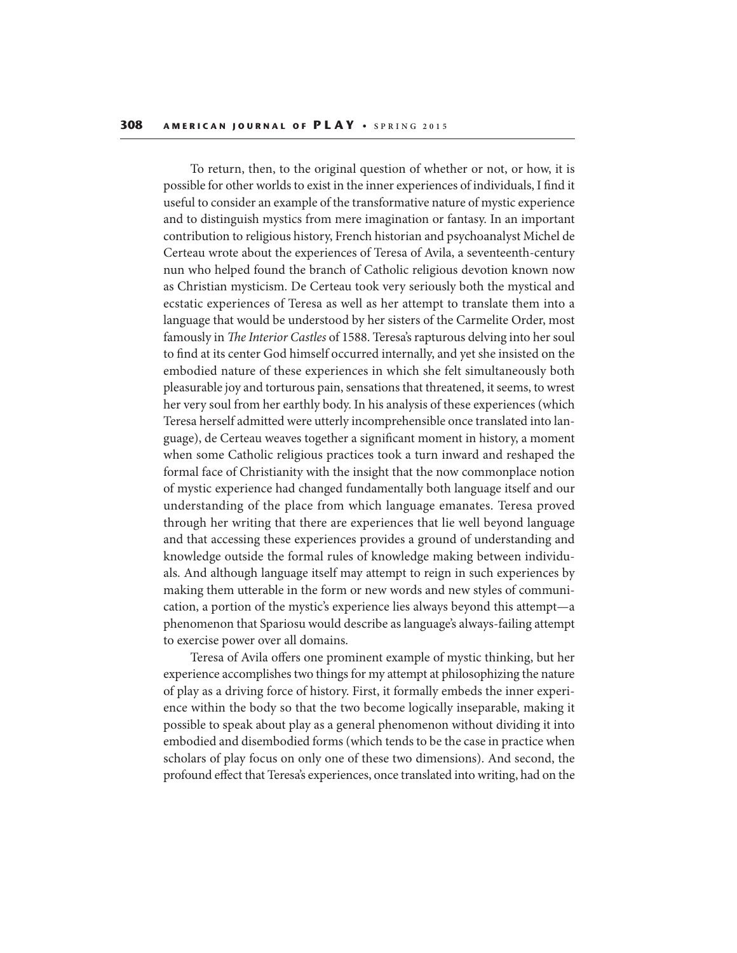To return, then, to the original question of whether or not, or how, it is possible for other worlds to exist in the inner experiences of individuals, I find it useful to consider an example of the transformative nature of mystic experience and to distinguish mystics from mere imagination or fantasy. In an important contribution to religious history, French historian and psychoanalyst Michel de Certeau wrote about the experiences of Teresa of Avila, a seventeenth-century nun who helped found the branch of Catholic religious devotion known now as Christian mysticism. De Certeau took very seriously both the mystical and ecstatic experiences of Teresa as well as her attempt to translate them into a language that would be understood by her sisters of the Carmelite Order, most famously in The Interior Castles of 1588. Teresa's rapturous delving into her soul to find at its center God himself occurred internally, and yet she insisted on the embodied nature of these experiences in which she felt simultaneously both pleasurable joy and torturous pain, sensations that threatened, it seems, to wrest her very soul from her earthly body. In his analysis of these experiences (which Teresa herself admitted were utterly incomprehensible once translated into language), de Certeau weaves together a signicant moment in history, a moment when some Catholic religious practices took a turn inward and reshaped the formal face of Christianity with the insight that the now commonplace notion of mystic experience had changed fundamentally both language itself and our understanding of the place from which language emanates. Teresa proved through her writing that there are experiences that lie well beyond language and that accessing these experiences provides a ground of understanding and knowledge outside the formal rules of knowledge making between individuals. And although language itself may attempt to reign in such experiences by making them utterable in the form or new words and new styles of communication, a portion of the mystic's experience lies always beyond this attempt—a phenomenon that Spariosu would describe as language's always-failing attempt to exercise power over all domains.

Teresa of Avila offers one prominent example of mystic thinking, but her experience accomplishes two things for my attempt at philosophizing the nature of play as a driving force of history. First, it formally embeds the inner experience within the body so that the two become logically inseparable, making it possible to speak about play as a general phenomenon without dividing it into embodied and disembodied forms (which tends to be the case in practice when scholars of play focus on only one of these two dimensions). And second, the profound effect that Teresa's experiences, once translated into writing, had on the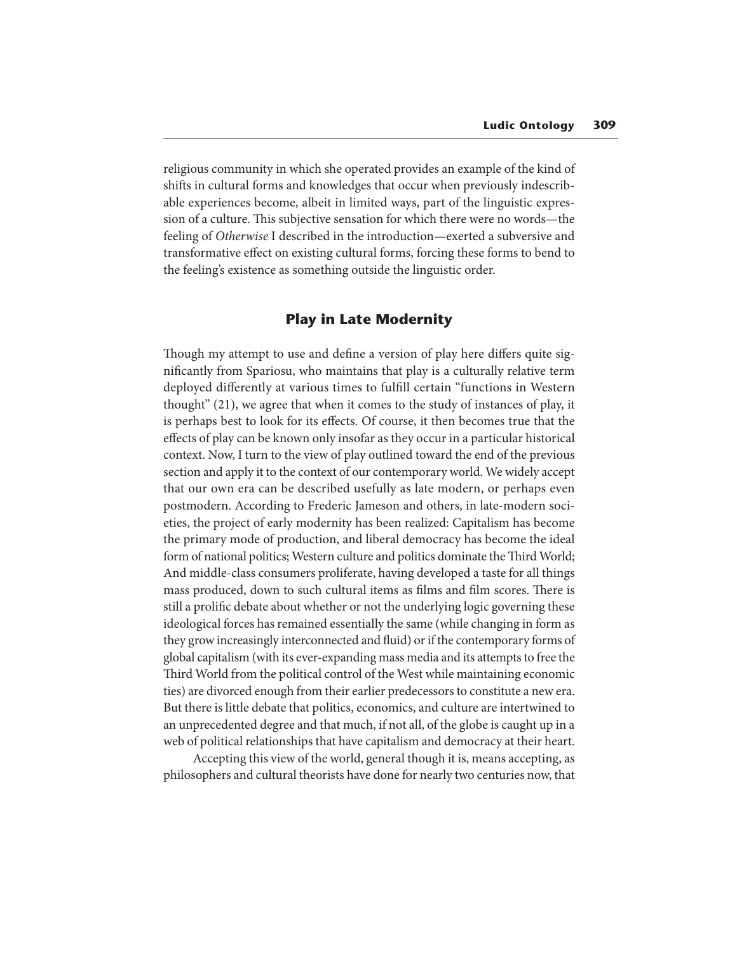religious community in which she operated provides an example of the kind of shifts in cultural forms and knowledges that occur when previously indescribable experiences become, albeit in limited ways, part of the linguistic expression of a culture. This subjective sensation for which there were no words—the feeling of Otherwise I described in the introduction—exerted a subversive and transformative effect on existing cultural forms, forcing these forms to bend to the feeling's existence as something outside the linguistic order.

# **Play in Late Modernity**

Though my attempt to use and define a version of play here differs quite signicantly from Spariosu, who maintains that play is a culturally relative term deployed differently at various times to fulfill certain "functions in Western thought" (21), we agree that when it comes to the study of instances of play, it is perhaps best to look for its effects. Of course, it then becomes true that the effects of play can be known only insofar as they occur in a particular historical context. Now, I turn to the view of play outlined toward the end of the previous section and apply it to the context of our contemporary world. We widely accept that our own era can be described usefully as late modern, or perhaps even postmodern. According to Frederic Jameson and others, in late-modern societies, the project of early modernity has been realized: Capitalism has become the primary mode of production, and liberal democracy has become the ideal form of national politics; Western culture and politics dominate the Third World; And middle-class consumers proliferate, having developed a taste for all things mass produced, down to such cultural items as films and film scores. There is still a prolific debate about whether or not the underlying logic governing these ideological forces has remained essentially the same (while changing in form as they grow increasingly interconnected and fluid) or if the contemporary forms of global capitalism (with its ever-expanding mass media and its attempts to free the Third World from the political control of the West while maintaining economic ties) are divorced enough from their earlier predecessors to constitute a new era. But there is little debate that politics, economics, and culture are intertwined to an unprecedented degree and that much, if not all, of the globe is caught up in a web of political relationships that have capitalism and democracy at their heart.

 Accepting this view of the world, general though it is, means accepting, as philosophers and cultural theorists have done for nearly two centuries now, that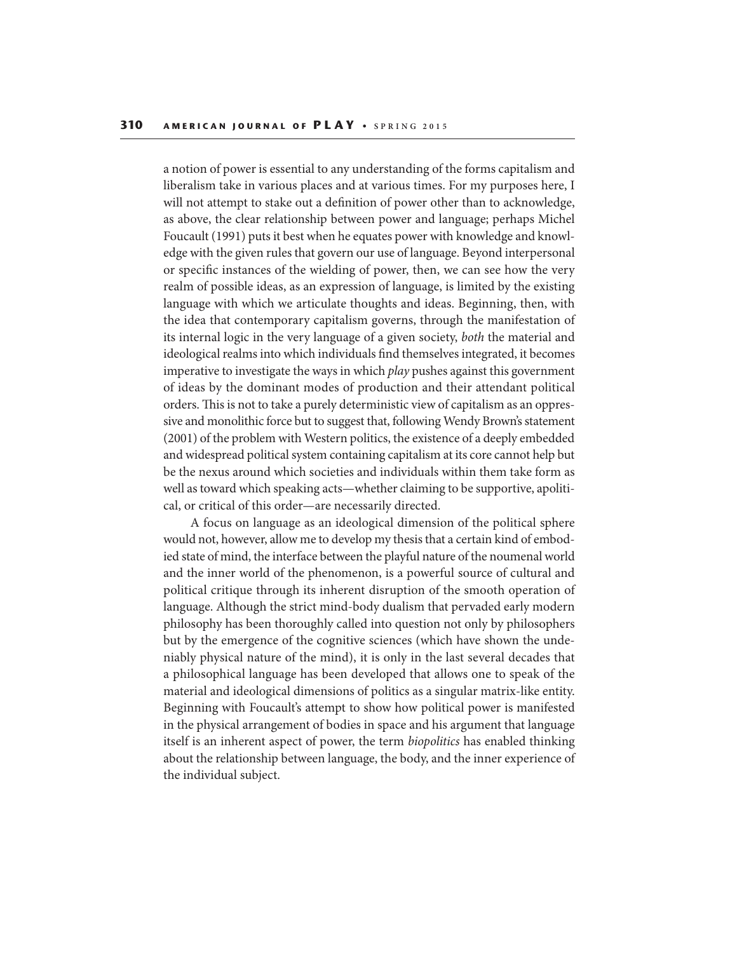a notion of power is essential to any understanding of the forms capitalism and liberalism take in various places and at various times. For my purposes here, I will not attempt to stake out a definition of power other than to acknowledge, as above, the clear relationship between power and language; perhaps Michel Foucault (1991) puts it best when he equates power with knowledge and knowledge with the given rules that govern our use of language. Beyond interpersonal or specific instances of the wielding of power, then, we can see how the very realm of possible ideas, as an expression of language, is limited by the existing language with which we articulate thoughts and ideas. Beginning, then, with the idea that contemporary capitalism governs, through the manifestation of its internal logic in the very language of a given society, both the material and ideological realms into which individuals find themselves integrated, it becomes imperative to investigate the ways in which *play* pushes against this government of ideas by the dominant modes of production and their attendant political orders. This is not to take a purely deterministic view of capitalism as an oppressive and monolithic force but to suggest that, following Wendy Brown's statement (2001) of the problem with Western politics, the existence of a deeply embedded and widespread political system containing capitalism at its core cannot help but be the nexus around which societies and individuals within them take form as well as toward which speaking acts—whether claiming to be supportive, apolitical, or critical of this order—are necessarily directed.

A focus on language as an ideological dimension of the political sphere would not, however, allow me to develop my thesis that a certain kind of embodied state of mind, the interface between the playful nature of the noumenal world and the inner world of the phenomenon, is a powerful source of cultural and political critique through its inherent disruption of the smooth operation of language. Although the strict mind-body dualism that pervaded early modern philosophy has been thoroughly called into question not only by philosophers but by the emergence of the cognitive sciences (which have shown the undeniably physical nature of the mind), it is only in the last several decades that a philosophical language has been developed that allows one to speak of the material and ideological dimensions of politics as a singular matrix-like entity. Beginning with Foucault's attempt to show how political power is manifested in the physical arrangement of bodies in space and his argument that language itself is an inherent aspect of power, the term biopolitics has enabled thinking about the relationship between language, the body, and the inner experience of the individual subject.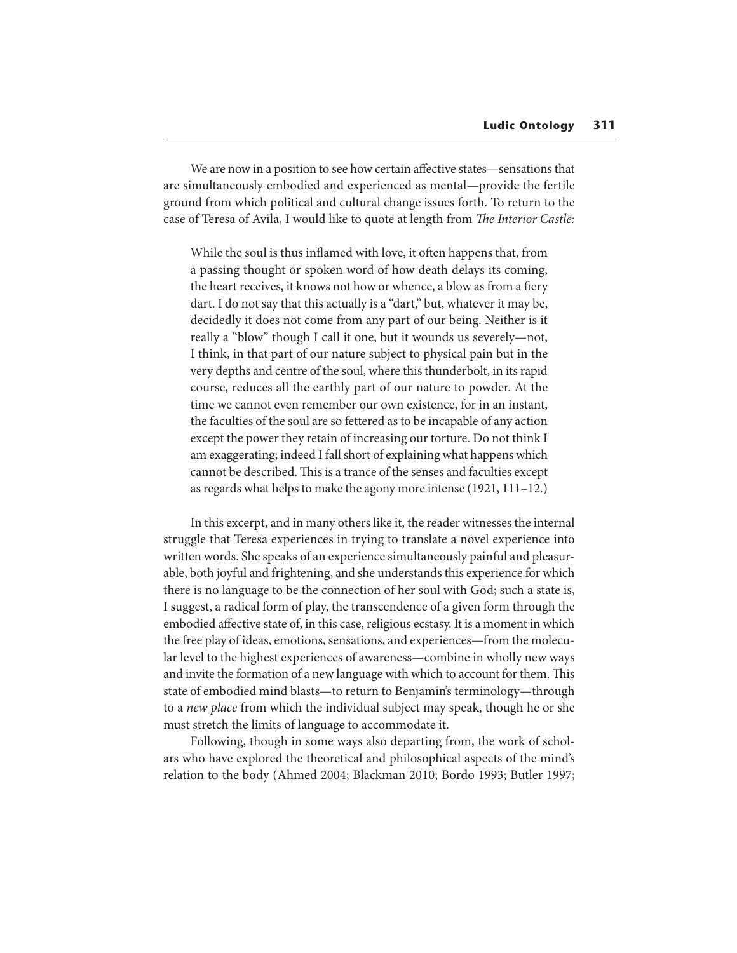We are now in a position to see how certain affective states—sensations that are simultaneously embodied and experienced as mental—provide the fertile ground from which political and cultural change issues forth. To return to the case of Teresa of Avila, I would like to quote at length from The Interior Castle:

While the soul is thus inflamed with love, it often happens that, from a passing thought or spoken word of how death delays its coming, the heart receives, it knows not how or whence, a blow as from a fiery dart. I do not say that this actually is a "dart," but, whatever it may be, decidedly it does not come from any part of our being. Neither is it really a "blow" though I call it one, but it wounds us severely—not, I think, in that part of our nature subject to physical pain but in the very depths and centre of the soul, where this thunderbolt, in its rapid course, reduces all the earthly part of our nature to powder. At the time we cannot even remember our own existence, for in an instant, the faculties of the soul are so fettered as to be incapable of any action except the power they retain of increasing our torture. Do not think I am exaggerating; indeed I fall short of explaining what happens which cannot be described. This is a trance of the senses and faculties except as regards what helps to make the agony more intense (1921, 111–12.)

In this excerpt, and in many others like it, the reader witnesses the internal struggle that Teresa experiences in trying to translate a novel experience into written words. She speaks of an experience simultaneously painful and pleasurable, both joyful and frightening, and she understands this experience for which there is no language to be the connection of her soul with God; such a state is, I suggest, a radical form of play, the transcendence of a given form through the embodied affective state of, in this case, religious ecstasy. It is a moment in which the free play of ideas, emotions, sensations, and experiences—from the molecular level to the highest experiences of awareness—combine in wholly new ways and invite the formation of a new language with which to account for them. This state of embodied mind blasts—to return to Benjamin's terminology—through to a new place from which the individual subject may speak, though he or she must stretch the limits of language to accommodate it.

Following, though in some ways also departing from, the work of scholars who have explored the theoretical and philosophical aspects of the mind's relation to the body (Ahmed 2004; Blackman 2010; Bordo 1993; Butler 1997;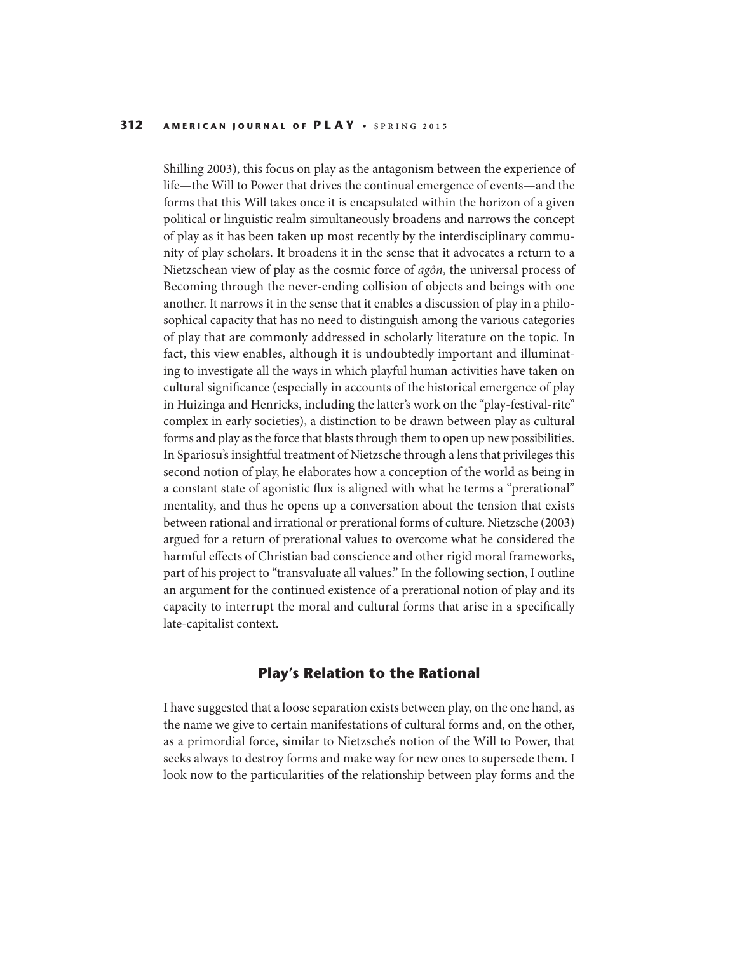Shilling 2003), this focus on play as the antagonism between the experience of life—the Will to Power that drives the continual emergence of events—and the forms that this Will takes once it is encapsulated within the horizon of a given political or linguistic realm simultaneously broadens and narrows the concept of play as it has been taken up most recently by the interdisciplinary community of play scholars. It broadens it in the sense that it advocates a return to a Nietzschean view of play as the cosmic force of agôn, the universal process of Becoming through the never-ending collision of objects and beings with one another. It narrows it in the sense that it enables a discussion of play in a philosophical capacity that has no need to distinguish among the various categories of play that are commonly addressed in scholarly literature on the topic. In fact, this view enables, although it is undoubtedly important and illuminating to investigate all the ways in which playful human activities have taken on cultural signicance (especially in accounts of the historical emergence of play in Huizinga and Henricks, including the latter's work on the "play-festival-rite" complex in early societies), a distinction to be drawn between play as cultural forms and play as the force that blasts through them to open up new possibilities. In Spariosu's insightful treatment of Nietzsche through a lens that privileges this second notion of play, he elaborates how a conception of the world as being in a constant state of agonistic flux is aligned with what he terms a "prerational" mentality, and thus he opens up a conversation about the tension that exists between rational and irrational or prerational forms of culture. Nietzsche (2003) argued for a return of prerational values to overcome what he considered the harmful effects of Christian bad conscience and other rigid moral frameworks, part of his project to "transvaluate all values." In the following section, I outline an argument for the continued existence of a prerational notion of play and its capacity to interrupt the moral and cultural forms that arise in a specifically late-capitalist context.

## **Play's Relation to the Rational**

I have suggested that a loose separation exists between play, on the one hand, as the name we give to certain manifestations of cultural forms and, on the other, as a primordial force, similar to Nietzsche's notion of the Will to Power, that seeks always to destroy forms and make way for new ones to supersede them. I look now to the particularities of the relationship between play forms and the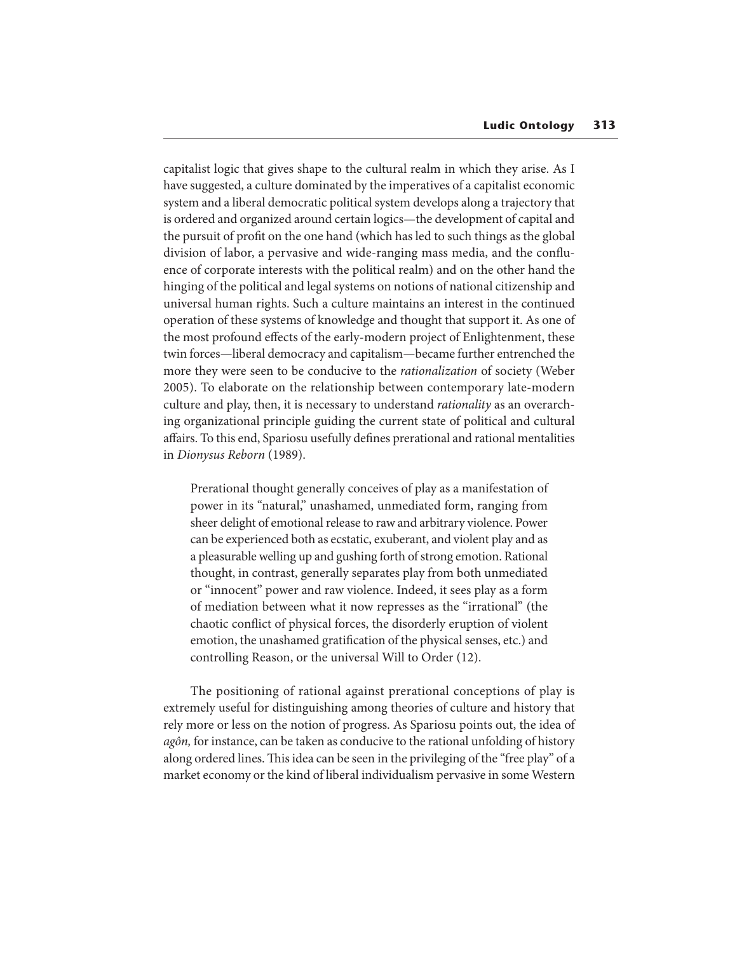capitalist logic that gives shape to the cultural realm in which they arise. As I have suggested, a culture dominated by the imperatives of a capitalist economic system and a liberal democratic political system develops along a trajectory that is ordered and organized around certain logics—the development of capital and the pursuit of profit on the one hand (which has led to such things as the global division of labor, a pervasive and wide-ranging mass media, and the confluence of corporate interests with the political realm) and on the other hand the hinging of the political and legal systems on notions of national citizenship and universal human rights. Such a culture maintains an interest in the continued operation of these systems of knowledge and thought that support it. As one of the most profound effects of the early-modern project of Enlightenment, these twin forces—liberal democracy and capitalism—became further entrenched the more they were seen to be conducive to the rationalization of society (Weber 2005). To elaborate on the relationship between contemporary late-modern culture and play, then, it is necessary to understand rationality as an overarching organizational principle guiding the current state of political and cultural affairs. To this end, Spariosu usefully defines prerational and rational mentalities in Dionysus Reborn (1989).

Prerational thought generally conceives of play as a manifestation of power in its "natural," unashamed, unmediated form, ranging from sheer delight of emotional release to raw and arbitrary violence. Power can be experienced both as ecstatic, exuberant, and violent play and as a pleasurable welling up and gushing forth of strong emotion. Rational thought, in contrast, generally separates play from both unmediated or "innocent" power and raw violence. Indeed, it sees play as a form of mediation between what it now represses as the "irrational" (the chaotic conflict of physical forces, the disorderly eruption of violent emotion, the unashamed gratification of the physical senses, etc.) and controlling Reason, or the universal Will to Order (12).

The positioning of rational against prerational conceptions of play is extremely useful for distinguishing among theories of culture and history that rely more or less on the notion of progress. As Spariosu points out, the idea of agôn, for instance, can be taken as conducive to the rational unfolding of history along ordered lines. This idea can be seen in the privileging of the "free play" of a market economy or the kind of liberal individualism pervasive in some Western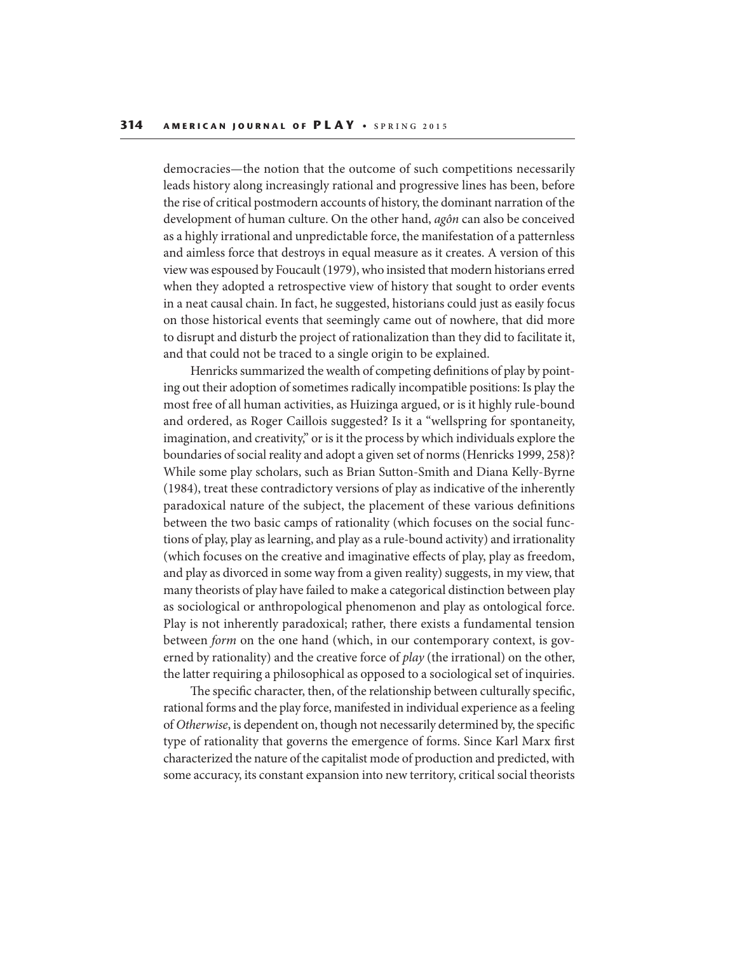democracies—the notion that the outcome of such competitions necessarily leads history along increasingly rational and progressive lines has been, before the rise of critical postmodern accounts of history, the dominant narration of the development of human culture. On the other hand, agôn can also be conceived as a highly irrational and unpredictable force, the manifestation of a patternless and aimless force that destroys in equal measure as it creates. A version of this view was espoused by Foucault (1979), who insisted that modern historians erred when they adopted a retrospective view of history that sought to order events in a neat causal chain. In fact, he suggested, historians could just as easily focus on those historical events that seemingly came out of nowhere, that did more to disrupt and disturb the project of rationalization than they did to facilitate it, and that could not be traced to a single origin to be explained.

Henricks summarized the wealth of competing definitions of play by pointing out their adoption of sometimes radically incompatible positions: Is play the most free of all human activities, as Huizinga argued, or is it highly rule-bound and ordered, as Roger Caillois suggested? Is it a "wellspring for spontaneity, imagination, and creativity," or is it the process by which individuals explore the boundaries of social reality and adopt a given set of norms (Henricks 1999, 258)? While some play scholars, such as Brian Sutton-Smith and Diana Kelly-Byrne (1984), treat these contradictory versions of play as indicative of the inherently paradoxical nature of the subject, the placement of these various definitions between the two basic camps of rationality (which focuses on the social functions of play, play as learning, and play as a rule-bound activity) and irrationality (which focuses on the creative and imaginative effects of play, play as freedom, and play as divorced in some way from a given reality) suggests, in my view, that many theorists of play have failed to make a categorical distinction between play as sociological or anthropological phenomenon and play as ontological force. Play is not inherently paradoxical; rather, there exists a fundamental tension between form on the one hand (which, in our contemporary context, is governed by rationality) and the creative force of  $play$  (the irrational) on the other, the latter requiring a philosophical as opposed to a sociological set of inquiries.

The specific character, then, of the relationship between culturally specific, rational forms and the play force, manifested in individual experience as a feeling of Otherwise, is dependent on, though not necessarily determined by, the specific type of rationality that governs the emergence of forms. Since Karl Marx first characterized the nature of the capitalist mode of production and predicted, with some accuracy, its constant expansion into new territory, critical social theorists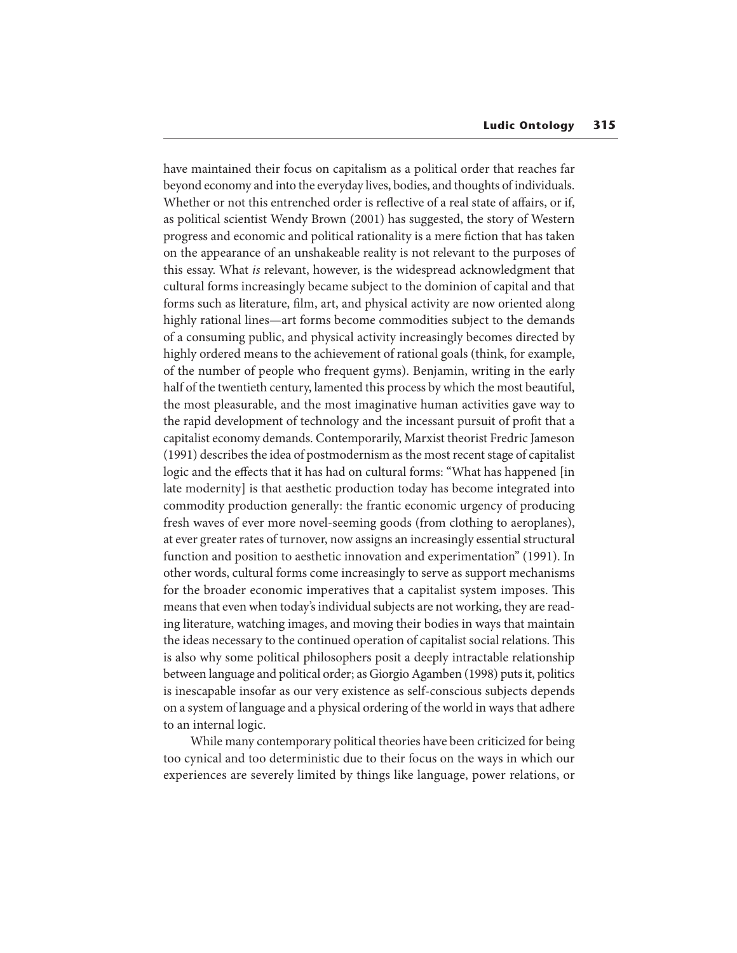have maintained their focus on capitalism as a political order that reaches far beyond economy and into the everyday lives, bodies, and thoughts of individuals. Whether or not this entrenched order is reflective of a real state of affairs, or if, as political scientist Wendy Brown (2001) has suggested, the story of Western progress and economic and political rationality is a mere fiction that has taken on the appearance of an unshakeable reality is not relevant to the purposes of this essay. What is relevant, however, is the widespread acknowledgment that cultural forms increasingly became subject to the dominion of capital and that forms such as literature, film, art, and physical activity are now oriented along highly rational lines—art forms become commodities subject to the demands of a consuming public, and physical activity increasingly becomes directed by highly ordered means to the achievement of rational goals (think, for example, of the number of people who frequent gyms). Benjamin, writing in the early half of the twentieth century, lamented this process by which the most beautiful, the most pleasurable, and the most imaginative human activities gave way to the rapid development of technology and the incessant pursuit of profit that a capitalist economy demands. Contemporarily, Marxist theorist Fredric Jameson (1991) describes the idea of postmodernism as the most recent stage of capitalist logic and the effects that it has had on cultural forms: "What has happened [in late modernity] is that aesthetic production today has become integrated into commodity production generally: the frantic economic urgency of producing fresh waves of ever more novel-seeming goods (from clothing to aeroplanes), at ever greater rates of turnover, now assigns an increasingly essential structural function and position to aesthetic innovation and experimentation" (1991). In other words, cultural forms come increasingly to serve as support mechanisms for the broader economic imperatives that a capitalist system imposes. This means that even when today's individual subjects are not working, they are reading literature, watching images, and moving their bodies in ways that maintain the ideas necessary to the continued operation of capitalist social relations. This is also why some political philosophers posit a deeply intractable relationship between language and political order; as Giorgio Agamben (1998) puts it, politics is inescapable insofar as our very existence as self-conscious subjects depends on a system of language and a physical ordering of the world in ways that adhere to an internal logic.

While many contemporary political theories have been criticized for being too cynical and too deterministic due to their focus on the ways in which our experiences are severely limited by things like language, power relations, or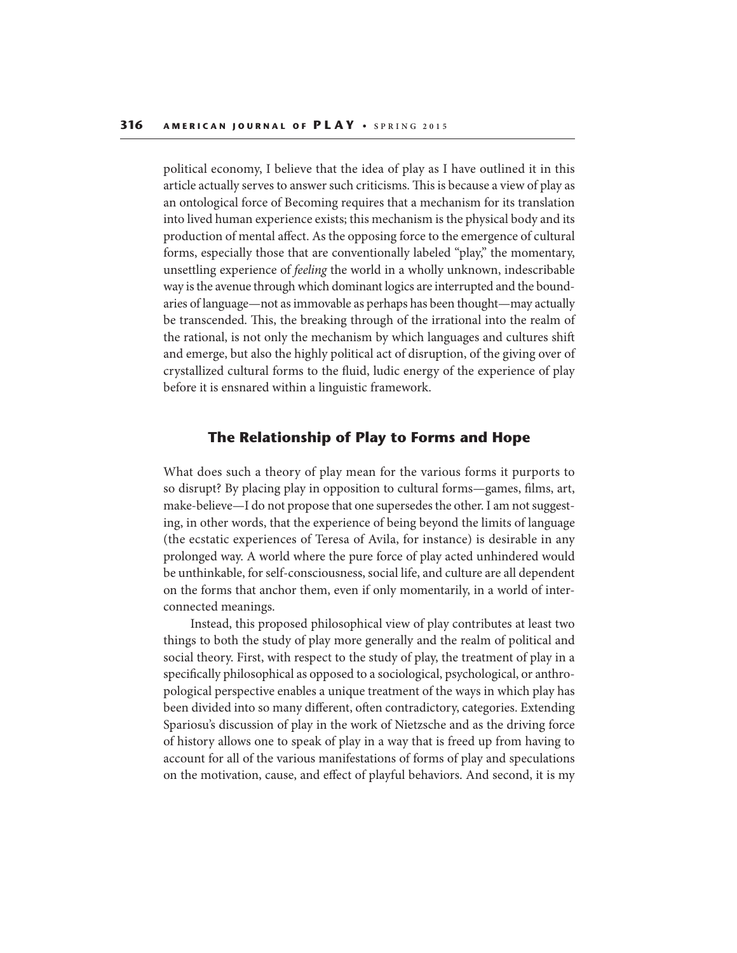political economy, I believe that the idea of play as I have outlined it in this article actually serves to answer such criticisms. This is because a view of play as an ontological force of Becoming requires that a mechanism for its translation into lived human experience exists; this mechanism is the physical body and its production of mental affect. As the opposing force to the emergence of cultural forms, especially those that are conventionally labeled "play," the momentary, unsettling experience of feeling the world in a wholly unknown, indescribable way is the avenue through which dominant logics are interrupted and the boundaries of language—not as immovable as perhaps has been thought—may actually be transcended. This, the breaking through of the irrational into the realm of the rational, is not only the mechanism by which languages and cultures shift and emerge, but also the highly political act of disruption, of the giving over of crystallized cultural forms to the fluid, ludic energy of the experience of play before it is ensnared within a linguistic framework.

### **The Relationship of Play to Forms and Hope**

What does such a theory of play mean for the various forms it purports to so disrupt? By placing play in opposition to cultural forms—games, films, art, make-believe—I do not propose that one supersedes the other. I am not suggesting, in other words, that the experience of being beyond the limits of language (the ecstatic experiences of Teresa of Avila, for instance) is desirable in any prolonged way. A world where the pure force of play acted unhindered would be unthinkable, for self-consciousness, social life, and culture are all dependent on the forms that anchor them, even if only momentarily, in a world of interconnected meanings.

Instead, this proposed philosophical view of play contributes at least two things to both the study of play more generally and the realm of political and social theory. First, with respect to the study of play, the treatment of play in a specifically philosophical as opposed to a sociological, psychological, or anthropological perspective enables a unique treatment of the ways in which play has been divided into so many different, often contradictory, categories. Extending Spariosu's discussion of play in the work of Nietzsche and as the driving force of history allows one to speak of play in a way that is freed up from having to account for all of the various manifestations of forms of play and speculations on the motivation, cause, and effect of playful behaviors. And second, it is my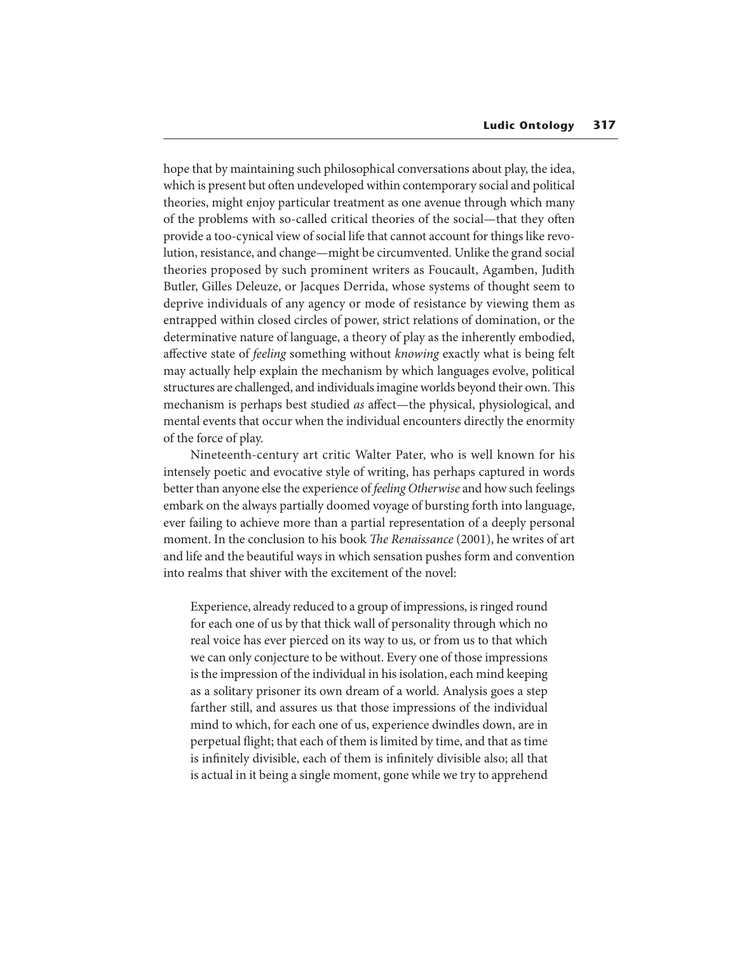hope that by maintaining such philosophical conversations about play, the idea, which is present but often undeveloped within contemporary social and political theories, might enjoy particular treatment as one avenue through which many of the problems with so-called critical theories of the social—that they often provide a too-cynical view of social life that cannot account for things like revolution, resistance, and change—might be circumvented. Unlike the grand social theories proposed by such prominent writers as Foucault, Agamben, Judith Butler, Gilles Deleuze, or Jacques Derrida, whose systems of thought seem to deprive individuals of any agency or mode of resistance by viewing them as entrapped within closed circles of power, strict relations of domination, or the determinative nature of language, a theory of play as the inherently embodied, affective state of *feeling* something without *knowing* exactly what is being felt may actually help explain the mechanism by which languages evolve, political structures are challenged, and individuals imagine worlds beyond their own. This mechanism is perhaps best studied as affect—the physical, physiological, and mental events that occur when the individual encounters directly the enormity of the force of play.

Nineteenth-century art critic Walter Pater, who is well known for his intensely poetic and evocative style of writing, has perhaps captured in words better than anyone else the experience of feeling Otherwise and how such feelings embark on the always partially doomed voyage of bursting forth into language, ever failing to achieve more than a partial representation of a deeply personal moment. In the conclusion to his book *The Renaissance* (2001), he writes of art and life and the beautiful ways in which sensation pushes form and convention into realms that shiver with the excitement of the novel:

Experience, already reduced to a group of impressions, is ringed round for each one of us by that thick wall of personality through which no real voice has ever pierced on its way to us, or from us to that which we can only conjecture to be without. Every one of those impressions is the impression of the individual in his isolation, each mind keeping as a solitary prisoner its own dream of a world. Analysis goes a step farther still, and assures us that those impressions of the individual mind to which, for each one of us, experience dwindles down, are in perpetual flight; that each of them is limited by time, and that as time is infinitely divisible, each of them is infinitely divisible also; all that is actual in it being a single moment, gone while we try to apprehend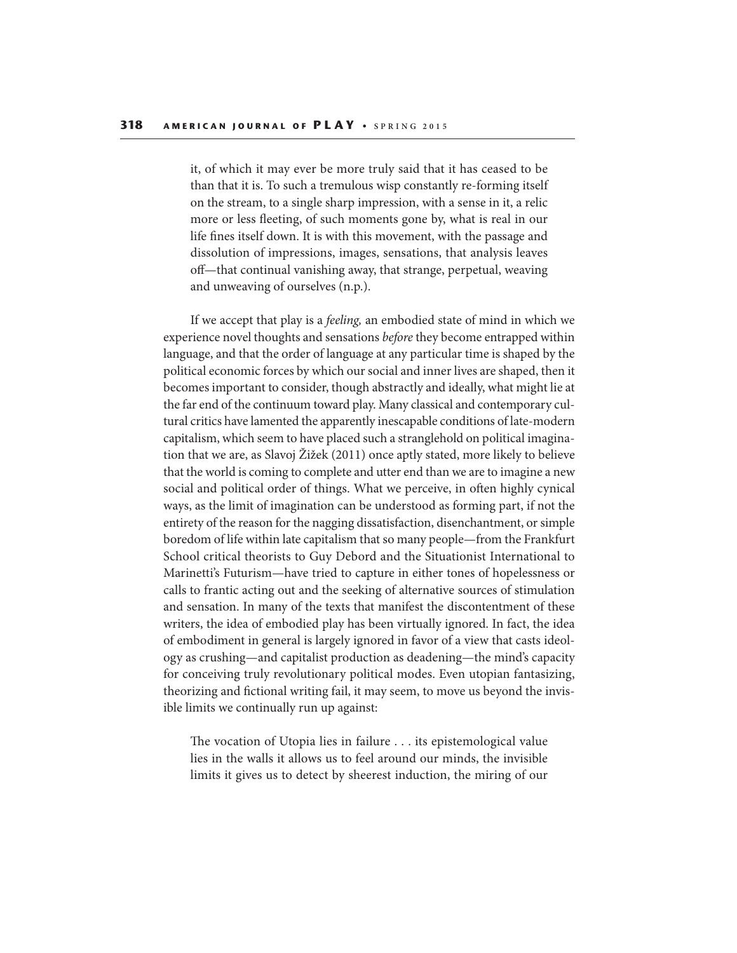it, of which it may ever be more truly said that it has ceased to be than that it is. To such a tremulous wisp constantly re-forming itself on the stream, to a single sharp impression, with a sense in it, a relic more or less fleeting, of such moments gone by, what is real in our life fines itself down. It is with this movement, with the passage and dissolution of impressions, images, sensations, that analysis leaves off—that continual vanishing away, that strange, perpetual, weaving and unweaving of ourselves (n.p.).

If we accept that play is a feeling, an embodied state of mind in which we experience novel thoughts and sensations before they become entrapped within language, and that the order of language at any particular time is shaped by the political economic forces by which our social and inner lives are shaped, then it becomes important to consider, though abstractly and ideally, what might lie at the far end of the continuum toward play. Many classical and contemporary cultural critics have lamented the apparently inescapable conditions of late-modern capitalism, which seem to have placed such a stranglehold on political imagination that we are, as Slavoj Žižek (2011) once aptly stated, more likely to believe that the world is coming to complete and utter end than we are to imagine a new social and political order of things. What we perceive, in often highly cynical ways, as the limit of imagination can be understood as forming part, if not the entirety of the reason for the nagging dissatisfaction, disenchantment, or simple boredom of life within late capitalism that so many people—from the Frankfurt School critical theorists to Guy Debord and the Situationist International to Marinetti's Futurism—have tried to capture in either tones of hopelessness or calls to frantic acting out and the seeking of alternative sources of stimulation and sensation. In many of the texts that manifest the discontentment of these writers, the idea of embodied play has been virtually ignored. In fact, the idea of embodiment in general is largely ignored in favor of a view that casts ideology as crushing—and capitalist production as deadening—the mind's capacity for conceiving truly revolutionary political modes. Even utopian fantasizing, theorizing and fictional writing fail, it may seem, to move us beyond the invisible limits we continually run up against:

The vocation of Utopia lies in failure  $\dots$  its epistemological value lies in the walls it allows us to feel around our minds, the invisible limits it gives us to detect by sheerest induction, the miring of our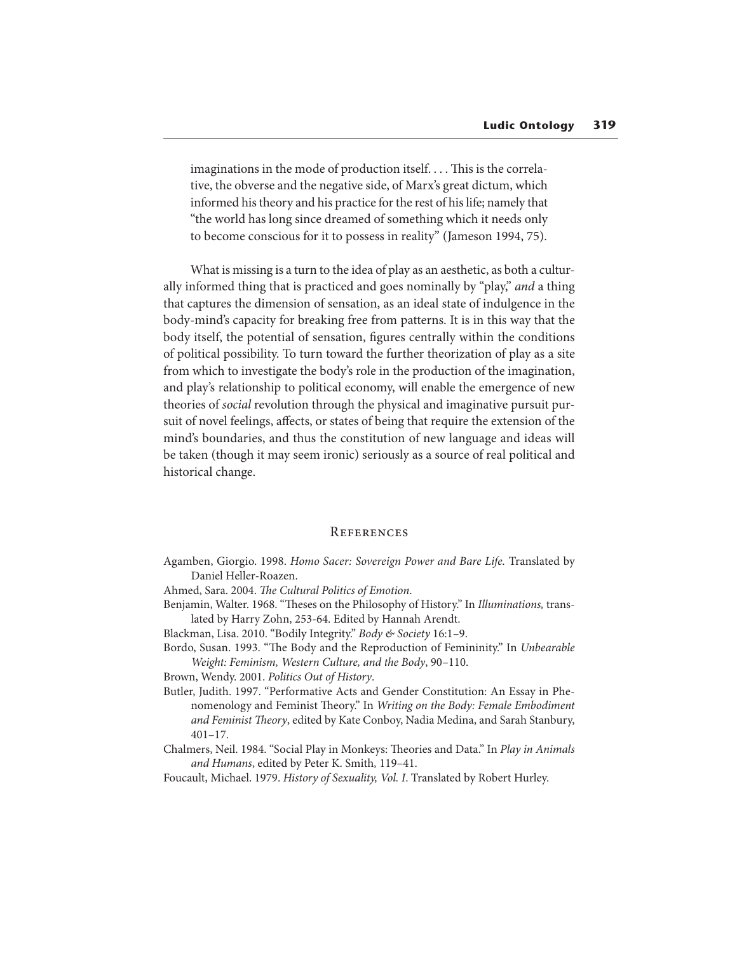imaginations in the mode of production itself.... This is the correlative, the obverse and the negative side, of Marx's great dictum, which informed his theory and his practice for the rest of his life; namely that "the world has long since dreamed of something which it needs only to become conscious for it to possess in reality" (Jameson 1994, 75).

What is missing is a turn to the idea of play as an aesthetic, as both a culturally informed thing that is practiced and goes nominally by "play," and a thing that captures the dimension of sensation, as an ideal state of indulgence in the body-mind's capacity for breaking free from patterns. It is in this way that the body itself, the potential of sensation, figures centrally within the conditions of political possibility. To turn toward the further theorization of play as a site from which to investigate the body's role in the production of the imagination, and play's relationship to political economy, will enable the emergence of new theories of social revolution through the physical and imaginative pursuit pursuit of novel feelings, affects, or states of being that require the extension of the mind's boundaries, and thus the constitution of new language and ideas will be taken (though it may seem ironic) seriously as a source of real political and historical change.

#### **REFERENCES**

Agamben, Giorgio. 1998. Homo Sacer: Sovereign Power and Bare Life. Translated by Daniel Heller-Roazen.

Ahmed, Sara. 2004. The Cultural Politics of Emotion.

Benjamin, Walter. 1968. "Theses on the Philosophy of History." In Illuminations, translated by Harry Zohn, 253-64. Edited by Hannah Arendt.

Blackman, Lisa. 2010. "Bodily Integrity." Body & Society 16:1-9.

Bordo, Susan. 1993. "The Body and the Reproduction of Femininity." In Unbearable Weight: Feminism, Western Culture, and the Body, 90–110.

Brown, Wendy. 2001. Politics Out of History.

Butler, Judith. 1997. "Performative Acts and Gender Constitution: An Essay in Phenomenology and Feminist Theory." In Writing on the Body: Female Embodiment and Feminist Theory, edited by Kate Conboy, Nadia Medina, and Sarah Stanbury,  $401 - 17.$ 

Chalmers, Neil. 1984. "Social Play in Monkeys: Theories and Data." In Play in Animals and Humans, edited by Peter K. Smith, 119–41.

Foucault, Michael. 1979. History of Sexuality, Vol. I. Translated by Robert Hurley.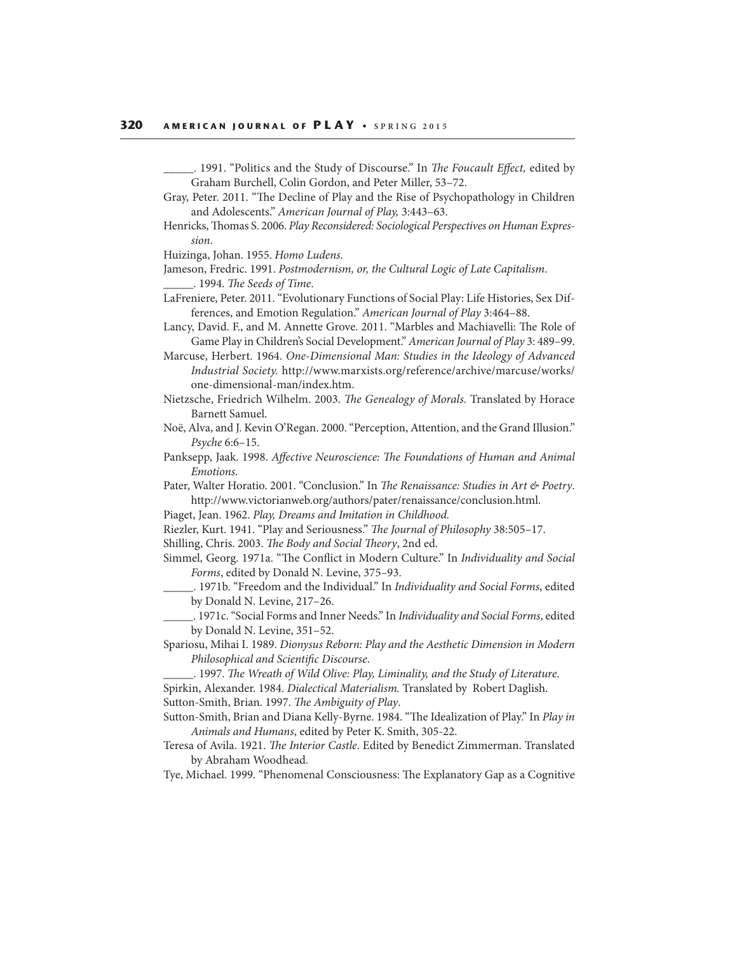- . 1991. "Politics and the Study of Discourse." In The Foucault Effect, edited by Graham Burchell, Colin Gordon, and Peter Miller, 53–72.
- Gray, Peter. 2011. "The Decline of Play and the Rise of Psychopathology in Children and Adolescents." American Journal of Play, 3:443–63.
- Henricks, Thomas S. 2006. Play Reconsidered: Sociological Perspectives on Human Expression.

Huizinga, Johan. 1955. Homo Ludens.

- Jameson, Fredric. 1991. Postmodernism, or, the Cultural Logic of Late Capitalism. . 1994. The Seeds of Time.
- LaFreniere, Peter. 2011. "Evolutionary Functions of Social Play: Life Histories, Sex Differences, and Emotion Regulation." American Journal of Play 3:464–88.
- Lancy, David. F., and M. Annette Grove. 2011. "Marbles and Machiavelli: The Role of Game Play in Children's Social Development." American Journal of Play 3: 489–99.

Marcuse, Herbert. 1964. One-Dimensional Man: Studies in the Ideology of Advanced Industrial Society. http://www.marxists.org/reference/archive/marcuse/works/ one-dimensional-man/index.htm.

- Nietzsche, Friedrich Wilhelm. 2003. The Genealogy of Morals. Translated by Horace Barnett Samuel.
- Noë, Alva, and J. Kevin O'Regan. 2000. "Perception, Attention, and the Grand Illusion." Psyche 6:6–15.
- Panksepp, Jaak. 1998. Affective Neuroscience: The Foundations of Human and Animal Emotions.
- Pater, Walter Horatio. 2001. "Conclusion." In The Renaissance: Studies in Art & Poetry. http://www.victorianweb.org/authors/pater/renaissance/conclusion.html.
- Piaget, Jean. 1962. Play, Dreams and Imitation in Childhood.
- Riezler, Kurt. 1941. "Play and Seriousness." The Journal of Philosophy 38:505-17.
- Shilling, Chris. 2003. The Body and Social Theory, 2nd ed.
- Simmel, Georg. 1971a. "The Conflict in Modern Culture." In Individuality and Social Forms, edited by Donald N. Levine, 375–93.

\_. 1971b. "Freedom and the Individual." In Individuality and Social Forms, edited by Donald N. Levine, 217–26.

- \_. 1971c. "Social Forms and Inner Needs." In Individuality and Social Forms, edited by Donald N. Levine, 351–52.
- Spariosu, Mihai I. 1989. Dionysus Reborn: Play and the Aesthetic Dimension in Modern Philosophical and Scientific Discourse.
- \_\_\_\_\_. 1997. !e Wreath of Wild Olive: Play, Liminality, and the Study of Literature. Spirkin, Alexander. 1984. Dialectical Materialism. Translated by Robert Daglish.

Sutton-Smith, Brian. 1997. The Ambiguity of Play.

- Sutton-Smith, Brian and Diana Kelly-Byrne. 1984. "The Idealization of Play." In Play in Animals and Humans, edited by Peter K. Smith, 305-22.
- Teresa of Avila. 1921. The Interior Castle. Edited by Benedict Zimmerman. Translated by Abraham Woodhead.
- Tye, Michael. 1999. "Phenomenal Consciousness: The Explanatory Gap as a Cognitive